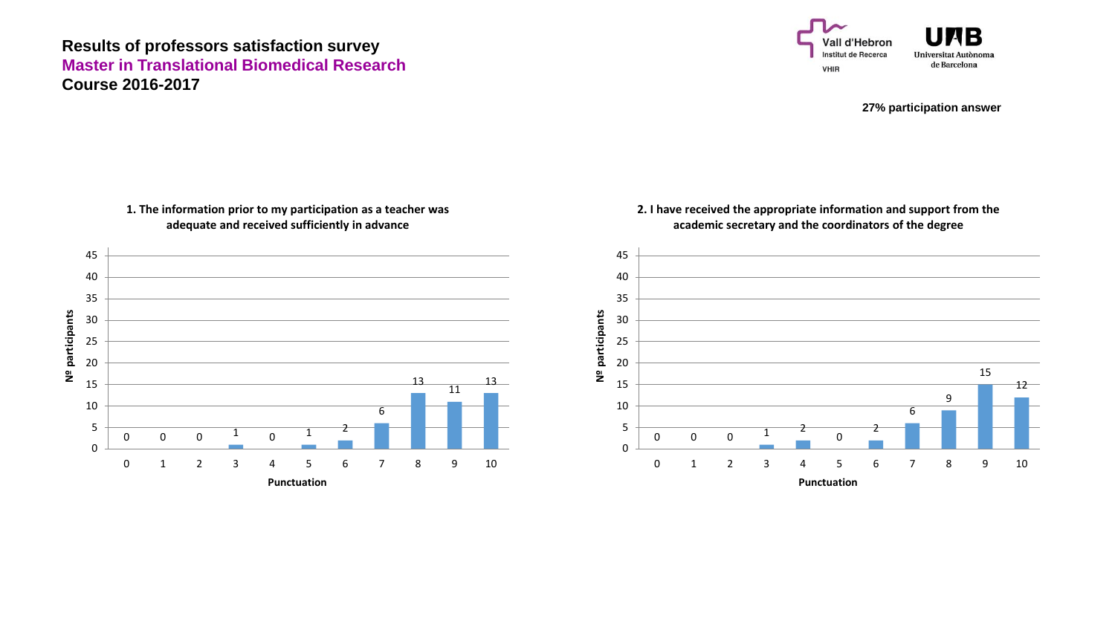

**27% participation answer**

**1. The information prior to my participation as a teacher was adequate and received sufficiently in advance**



**2. I have received the appropriate information and support from the academic secretary and the coordinators of the degree**

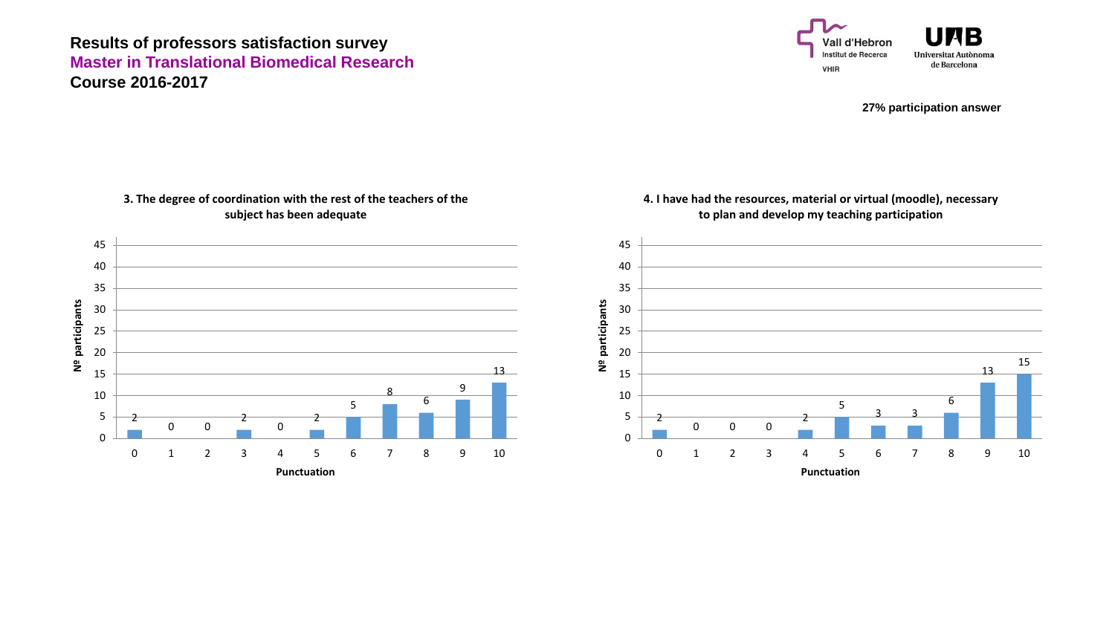

**27% participation answer**

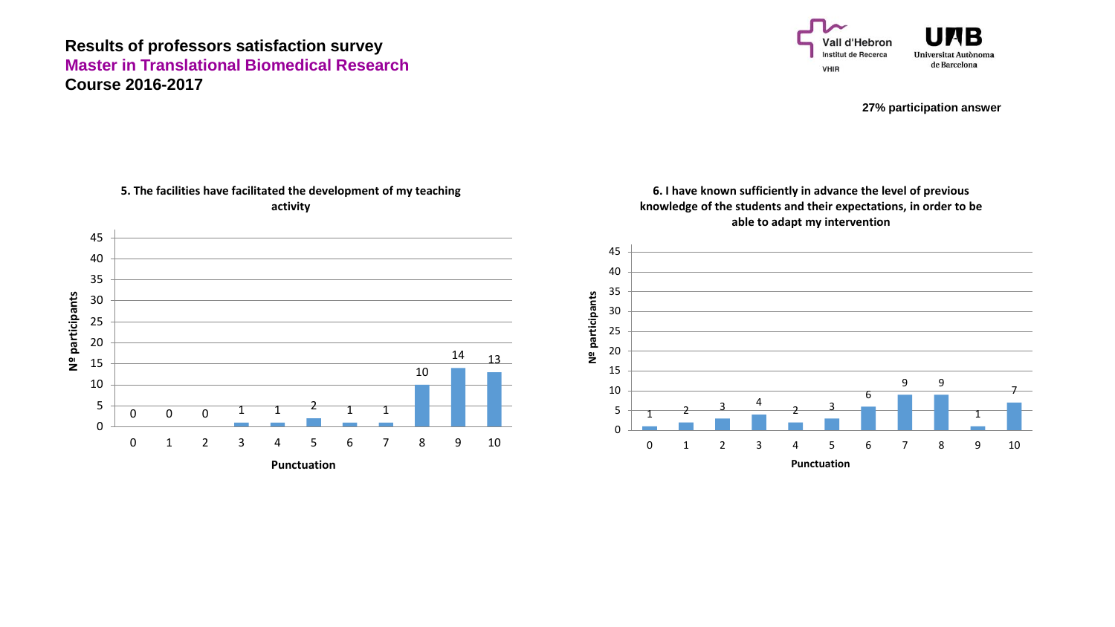

**27% participation answer**

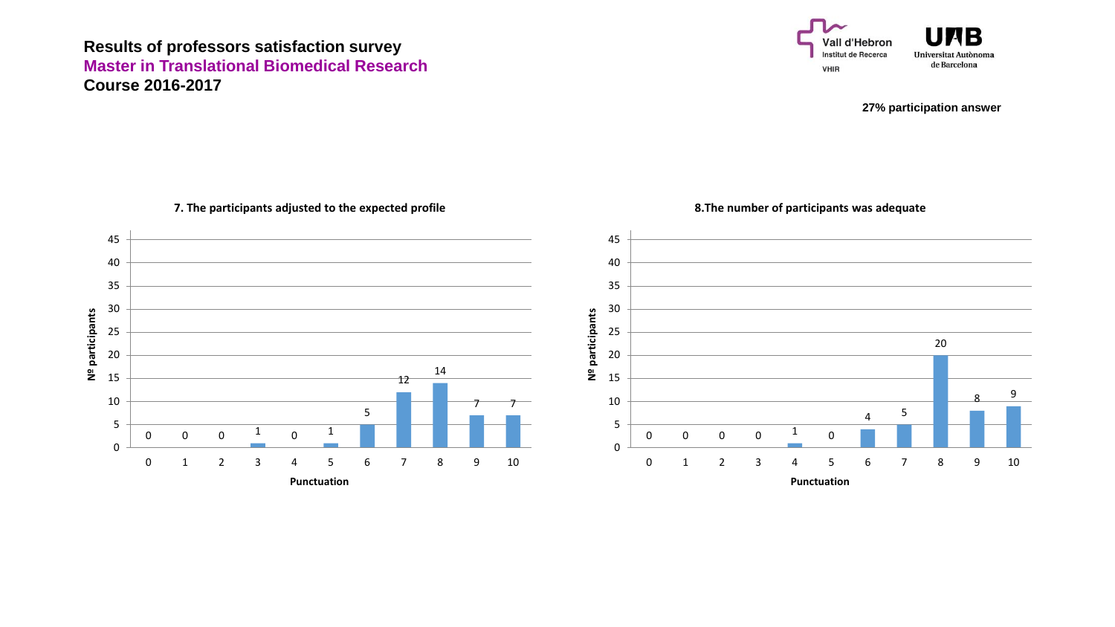

**27% participation answer**



**7. The participants adjusted to the expected profile**

**8.The number of participants was adequate**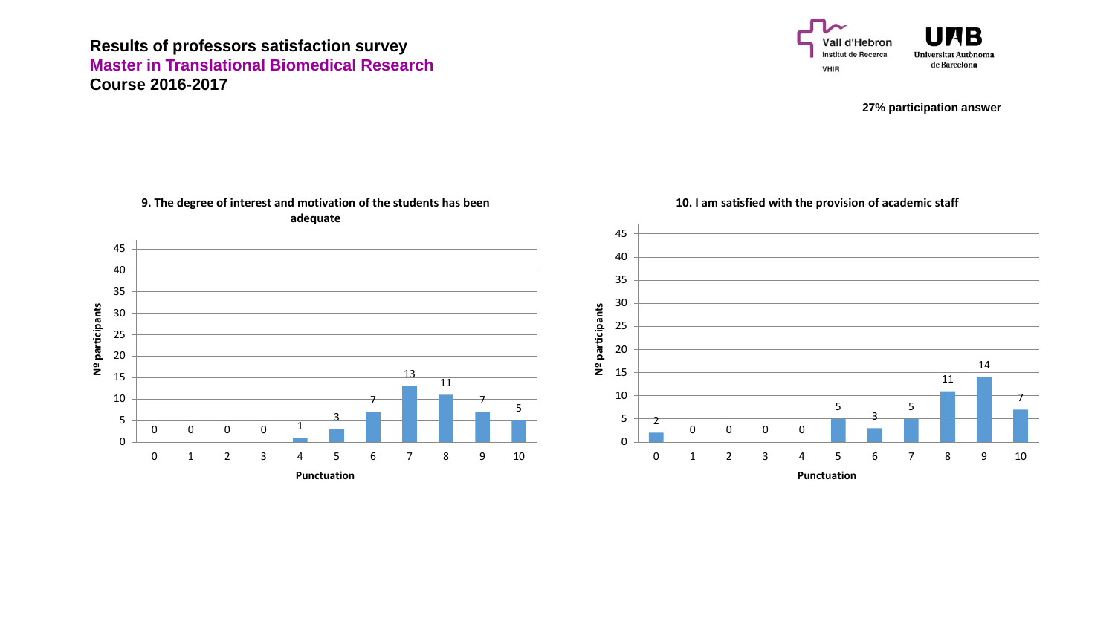

**27% participation answer**